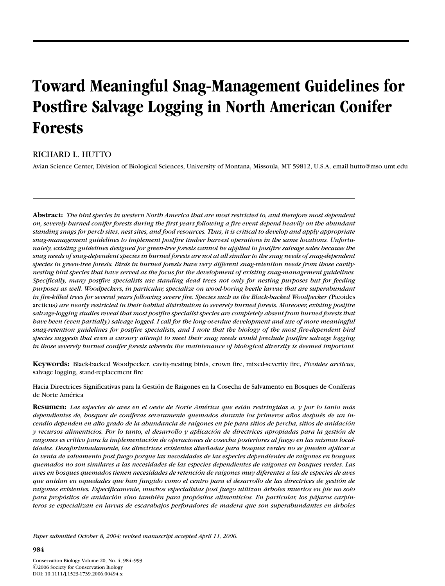# **Toward Meaningful Snag-Management Guidelines for Postfire Salvage Logging in North American Conifer Forests**

## RICHARD L. HUTTO

Avian Science Center, Division of Biological Sciences, University of Montana, Missoula, MT 59812, U.S.A, email hutto@mso.umt.edu

**Abstract:** *The bird species in western North America that are most restricted to, and therefore most dependent on, severely burned conifer forests during the first years following a fire event depend heavily on the abundant standing snags for perch sites, nest sites, and food resources. Thus, it is critical to develop and apply appropriate snag-management guidelines to implement postfire timber harvest operations in the same locations. Unfortunately, existing guidelines designed for green-tree forests cannot be applied to postfire salvage sales because the snag needs of snag-dependent species in burned forests are not at all similar to the snag needs of snag-dependent species in green-tree forests. Birds in burned forests have very different snag-retention needs from those cavitynesting bird species that have served as the focus for the development of existing snag-management guidelines. Specifically, many postfire specialists use standing dead trees not only for nesting purposes but for feeding purposes as well. Woodpeckers, in particular, specialize on wood-boring beetle larvae that are superabundant in fire-killed trees for several years following severe fire. Species such as the Black-backed Woodpecker (*Picoides arcticus*) are nearly restricted in their habitat distribution to severely burned forests. Moreover, existing postfire salvage-logging studies reveal that most postfire specialist species are completely absent from burned forests that have been (even partially) salvage logged. I call for the long-overdue development and use of more meaningful snag-retention guidelines for postfire specialists, and I note that the biology of the most fire-dependent bird species suggests that even a cursory attempt to meet their snag needs would preclude postfire salvage logging in those severely burned conifer forests wherein the maintenance of biological diversity is deemed important.*

**Keywords:** Black-backed Woodpecker, cavity-nesting birds, crown fire, mixed-severity fire, *Picoides arcticus*, salvage logging, stand-replacement fire

Hacia Directrices Significativas para la Gestión de Raigones en la Cosecha de Salvamento en Bosques de Coníferas de Norte América

**Resumen:** Las especies de aves en el oeste de Norte América que están restringidas a, y por lo tanto más *dependientes de, bosques de confferas severamente quemados durante los primeros años después de un incendio dependen en alto grado de la abundancia de raigones en pie para sitios de percha, sitios de anidacion´ y recursos alimenticios. Por lo tanto, el desarrollo y aplicacion de directrices apropiadas para la gesti ´ on de ´ raigones es cr´ıtico para la implementacion de operaciones de cosecha posteriores al fuego en las mismas local- ´ idades. Desafortunadamente, las directrices existentes disenadas para bosques verdes no se pueden aplicar a ˜ la venta de salvamento post fuego porque las necesidades de las especies dependientes de raigones en bosques quemados no son similares a las necesidades de las especies dependientes de raigones en bosques verdes. Las aves en bosques quemados tienen necesidades de retencion de raigones muy diferentes a las de especies de aves ´ que anidan en oquedades que han fungido como el centro para el desarrollo de las directrices de gestion de ´ raigones existentes. Espec´ıficamente, muchos especialistas post fuego utilizan arboles muertos en pie no solo ´ para propositos de anidaci ´ on sino tambi ´ ´en para propositos alimenticios. En particular, los p ´ ajaros carpin- ´ teros se especializan en larvas de escarabajos perforadores de madera que son superabundantes en arboles ´*

*Paper submitted October 8, 2004; revised manuscript accepted April 11, 2006.*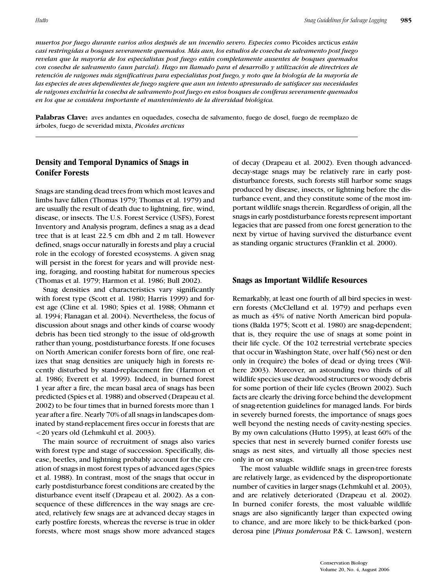*muertos por fuego durante varios años después de un incendio severo. Especies como Picoides arcticus están casi restringidas a bosques severamente quemados. Mas aun, los estudios de cosecha de salvamento post fuego ´ revelan que la mayor´ıa de los especialistas post fuego estan completamente ausentes de bosques quemados ´ con cosecha de salvamento (aun parcial). Hago un llamado para el desarrollo y utilizacion de directrices de ´ retencion de raigones m ´ as significativas para especialistas post fuego, y noto que la biolog ´ ´ıa de la mayor´ıa de las especies de aves dependientes de fuego sugiere que aun un intento apresurado de satisfacer sus necesidades de raigones excluir´ıa la cosecha de salvamento post fuego en estos bosques de con´ıferas severamente quemados en los que se considera importante el mantenimiento de la diversidad biologica. ´*

**Palabras Clave:** aves andantes en oquedades, cosecha de salvamento, fuego de dosel, fuego de reemplazo de ´arboles, fuego de severidad mixta, *Picoides arcticus*

## **Density and Temporal Dynamics of Snags in Conifer Forests**

Snags are standing dead trees from which most leaves and limbs have fallen (Thomas 1979; Thomas et al. 1979) and are usually the result of death due to lightning, fire, wind, disease, or insects. The U.S. Forest Service (USFS), Forest Inventory and Analysis program, defines a snag as a dead tree that is at least 22.5 cm dbh and 2 m tall. However defined, snags occur naturally in forests and play a crucial role in the ecology of forested ecosystems. A given snag will persist in the forest for years and will provide nesting, foraging, and roosting habitat for numerous species (Thomas et al. 1979; Harmon et al. 1986; Bull 2002).

Snag densities and characteristics vary significantly with forest type (Scott et al. 1980; Harris 1999) and forest age (Cline et al. 1980; Spies et al. 1988; Ohmann et al. 1994; Flanagan et al. 2004). Nevertheless, the focus of discussion about snags and other kinds of coarse woody debris has been tied strongly to the issue of old-growth rather than young, postdisturbance forests. If one focuses on North American conifer forests born of fire, one realizes that snag densities are uniquely high in forests recently disturbed by stand-replacement fire (Harmon et al. 1986; Everett et al. 1999). Indeed, in burned forest 1 year after a fire, the mean basal area of snags has been predicted (Spies et al. 1988) and observed (Drapeau et al. 2002) to be four times that in burned forests more than 1 year after a fire. Nearly 70% of all snags in landscapes dominated by stand-replacement fires occur in forests that are <20 years old (Lehmkuhl et al. 2003).

The main source of recruitment of snags also varies with forest type and stage of succession. Specifically, disease, beetles, and lightning probably account for the creation of snags in most forest types of advanced ages (Spies et al. 1988). In contrast, most of the snags that occur in early postdisturbance forest conditions are created by the disturbance event itself (Drapeau et al. 2002). As a consequence of these differences in the way snags are created, relatively few snags are at advanced decay stages in early postfire forests, whereas the reverse is true in older forests, where most snags show more advanced stages of decay (Drapeau et al. 2002). Even though advanceddecay-stage snags may be relatively rare in early postdisturbance forests, such forests still harbor some snags produced by disease, insects, or lightning before the disturbance event, and they constitute some of the most important wildlife snags therein. Regardless of origin, all the snags in early postdisturbance forests represent important legacies that are passed from one forest generation to the next by virtue of having survived the disturbance event as standing organic structures (Franklin et al. 2000).

#### **Snags as Important Wildlife Resources**

Remarkably, at least one fourth of all bird species in western forests (McClelland et al. 1979) and perhaps even as much as 45% of native North American bird populations (Balda 1975; Scott et al. 1980) are snag-dependent; that is, they require the use of snags at some point in their life cycle. Of the 102 terrestrial vertebrate species that occur in Washington State, over half (56) nest or den only in (require) the boles of dead or dying trees (Wilhere 2003). Moreover, an astounding two thirds of all wildlife species use deadwood structures or woody debris for some portion of their life cycles (Brown 2002). Such facts are clearly the driving force behind the development of snag-retention guidelines for managed lands. For birds in severely burned forests, the importance of snags goes well beyond the nesting needs of cavity-nesting species. By my own calculations (Hutto 1995), at least 60% of the species that nest in severely burned conifer forests use snags as nest sites, and virtually all those species nest only in or on snags.

The most valuable wildlife snags in green-tree forests are relatively large, as evidenced by the disproportionate number of cavities in larger snags (Lehmkuhl et al. 2003), and are relatively deteriorated (Drapeau et al. 2002). In burned conifer forests, the most valuable wildlife snags are also significantly larger than expected owing to chance, and are more likely to be thick-barked (ponderosa pine [*Pinus ponderosa* P.& C. Lawson], western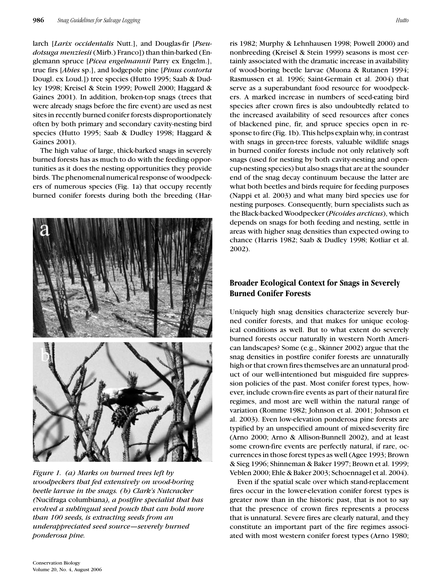larch [*Larix occidentalis* Nutt.], and Douglas-fir [*Pseudotsuga menziesii* (Mirb.) Franco]) than thin-barked (Englemann spruce [*Picea engelmannii* Parry ex Engelm.], true firs [*Abies* sp.], and lodgepole pine [*Pinus contorta* Dougl. ex Loud.]) tree species (Hutto 1995; Saab & Dudley 1998; Kreisel & Stein 1999; Powell 2000; Haggard & Gaines 2001). In addition, broken-top snags (trees that were already snags before the fire event) are used as nest sites in recently burned conifer forests disproportionately often by both primary and secondary cavity-nesting bird species (Hutto 1995; Saab & Dudley 1998; Haggard & Gaines 2001).

The high value of large, thick-barked snags in severely burned forests has as much to do with the feeding opportunities as it does the nesting opportunities they provide birds. The phenomenal numerical response of woodpeckers of numerous species (Fig. 1a) that occupy recently burned conifer forests during both the breeding (Har-



*Figure 1. (a) Marks on burned trees left by woodpeckers that fed extensively on wood-boring beetle larvae in the snags. (b) Clark's Nutcracker (*Nucifraga columbiana*), a postfire specialist that has evolved a sublingual seed pouch that can hold more than 100 seeds, is extracting seeds from an underappreciated seed source—severely burned ponderosa pine.*

ris 1982; Murphy & Lehnhausen 1998; Powell 2000) and nonbreeding (Kreisel & Stein 1999) seasons is most certainly associated with the dramatic increase in availability of wood-boring beetle larvae (Muona & Rutanen 1994; Rasmussen et al. 1996; Saint-Germain et al. 2004) that serve as a superabundant food resource for woodpeckers. A marked increase in numbers of seed-eating bird species after crown fires is also undoubtedly related to the increased availability of seed resources after cones of blackened pine, fir, and spruce species open in response to fire (Fig. 1b). This helps explain why, in contrast with snags in green-tree forests, valuable wildlife snags in burned conifer forests include not only relatively soft snags (used for nesting by both cavity-nesting and opencup-nesting species) but also snags that are at the sounder end of the snag decay continuum because the latter are what both beetles and birds require for feeding purposes (Nappi et al. 2003) and what many bird species use for nesting purposes. Consequently, burn specialists such as the Black-backed Woodpecker (*Picoides arcticus*), which depends on snags for both feeding and nesting, settle in areas with higher snag densities than expected owing to chance (Harris 1982; Saab & Dudley 1998; Kotliar et al. 2002).

## **Broader Ecological Context for Snags in Severely Burned Conifer Forests**

Uniquely high snag densities characterize severely burned conifer forests, and that makes for unique ecological conditions as well. But to what extent do severely burned forests occur naturally in western North American landscapes? Some (e.g., Skinner 2002) argue that the snag densities in postfire conifer forests are unnaturally high or that crown fires themselves are an unnatural product of our well-intentioned but misguided fire suppression policies of the past. Most conifer forest types, however, include crown-fire events as part of their natural fire regimes, and most are well within the natural range of variation (Romme 1982; Johnson et al. 2001; Johnson et al. 2003). Even low-elevation ponderosa pine forests are typified by an unspecified amount of mixed-severity fire (Arno 2000; Arno & Allison-Bunnell 2002), and at least some crown-fire events are perfectly natural, if rare, occurrences in those forest types as well (Agee 1993; Brown & Sieg 1996; Shinneman & Baker 1997; Brown et al. 1999; Veblen 2000; Ehle & Baker 2003; Schoennagel et al. 2004).

Even if the spatial scale over which stand-replacement fires occur in the lower-elevation conifer forest types is greater now than in the historic past, that is not to say that the presence of crown fires represents a process that is unnatural. Severe fires are clearly natural, and they constitute an important part of the fire regimes associated with most western conifer forest types (Arno 1980;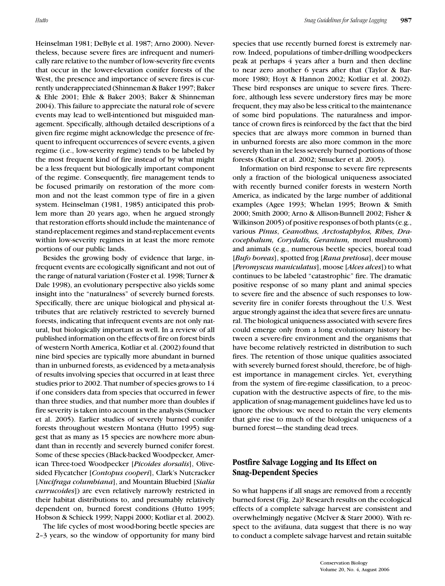Heinselman 1981; DeByle et al. 1987; Arno 2000). Nevertheless, because severe fires are infrequent and numerically rare relative to the number of low-severity fire events that occur in the lower-elevation conifer forests of the West, the presence and importance of severe fires is currently underappreciated (Shinneman & Baker 1997; Baker & Ehle 2001; Ehle & Baker 2003; Baker & Shinneman 2004). This failure to appreciate the natural role of severe events may lead to well-intentioned but misguided management. Specifically, although detailed descriptions of a given fire regime might acknowledge the presence of frequent to infrequent occurrences of severe events, a given regime (i.e., low-severity regime) tends to be labeled by the most frequent kind of fire instead of by what might be a less frequent but biologically important component of the regime. Consequently, fire management tends to be focused primarily on restoration of the more common and not the least common type of fire in a given system. Heinselman (1981, 1985) anticipated this problem more than 20 years ago, when he argued strongly that restoration efforts should include the maintenance of stand-replacement regimes and stand-replacement events within low-severity regimes in at least the more remote portions of our public lands.

Besides the growing body of evidence that large, infrequent events are ecologically significant and not out of the range of natural variation (Foster et al. 1998; Turner & Dale 1998), an evolutionary perspective also yields some insight into the "naturalness" of severely burned forests. Specifically, there are unique biological and physical attributes that are relatively restricted to severely burned forests, indicating that infrequent events are not only natural, but biologically important as well. In a review of all published information on the effects of fire on forest birds of western North America, Kotliar et al. (2002) found that nine bird species are typically more abundant in burned than in unburned forests, as evidenced by a meta-analysis of results involving species that occurred in at least three studies prior to 2002. That number of species grows to 14 if one considers data from species that occurred in fewer than three studies, and that number more than doubles if fire severity is taken into account in the analysis (Smucker et al. 2005). Earlier studies of severely burned conifer forests throughout western Montana (Hutto 1995) suggest that as many as 15 species are nowhere more abundant than in recently and severely burned conifer forest. Some of these species (Black-backed Woodpecker, American Three-toed Woodpecker [*Picoides dorsalis*], Olivesided Flycatcher [*Contopus cooperi*], Clark's Nutcracker [*Nucifraga columbiana*], and Mountain Bluebird [*Sialia currucoides*]) are even relatively narrowly restricted in their habitat distributions to, and presumably relatively dependent on, burned forest conditions (Hutto 1995; Hobson & Schieck 1999; Nappi 2000; Kotliar et al. 2002).

The life cycles of most wood-boring beetle species are 2–3 years, so the window of opportunity for many bird species that use recently burned forest is extremely narrow. Indeed, populations of timber-drilling woodpeckers peak at perhaps 4 years after a burn and then decline to near zero another 6 years after that (Taylor & Barmore 1980; Hoyt & Hannon 2002; Kotliar et al. 2002). These bird responses are unique to severe fires. Therefore, although less severe understory fires may be more frequent, they may also be less critical to the maintenance of some bird populations. The naturalness and importance of crown fires is reinforced by the fact that the bird species that are always more common in burned than in unburned forests are also more common in the more severely than in the less severely burned portions of those forests (Kotliar et al. 2002; Smucker et al. 2005).

Information on bird response to severe fire represents only a fraction of the biological uniqueness associated with recently burned conifer forests in western North America, as indicated by the large number of additional examples (Agee 1993; Whelan 1995; Brown & Smith 2000; Smith 2000; Arno & Allison-Bunnell 2002; Fisher & Wilkinson 2005) of positive responses of both plants (e.g., various *Pinus*, *Ceanothus, Arctostaphylos, Ribes, Dracocephalum, Corydalis, Geranium,* morel mushroom) and animals (e.g., numerous beetle species, boreal toad [*Bufo boreas*], spotted frog [*Rana pretiosa*], deer mouse [*Peromyscus maniculatus*], moose [*Alces alces*]) to what continues to be labeled "catastrophic" fire. The dramatic positive response of so many plant and animal species to severe fire and the absence of such responses to lowseverity fire in conifer forests throughout the U.S. West argue strongly against the idea that severe fires are unnatural. The biological uniqueness associated with severe fires could emerge only from a long evolutionary history between a severe-fire environment and the organisms that have become relatively restricted in distribution to such fires. The retention of those unique qualities associated with severely burned forest should, therefore, be of highest importance in management circles. Yet, everything from the system of fire-regime classification, to a preoccupation with the destructive aspects of fire, to the misapplication of snag-management guidelines have led us to ignore the obvious: we need to retain the very elements that give rise to much of the biological uniqueness of a burned forest—the standing dead trees.

## **Postfire Salvage Logging and Its Effect on Snag-Dependent Species**

So what happens if all snags are removed from a recently burned forest (Fig. 2a)? Research results on the ecological effects of a complete salvage harvest are consistent and overwhelmingly negative (McIver & Starr 2000). With respect to the avifauna, data suggest that there is no way to conduct a complete salvage harvest and retain suitable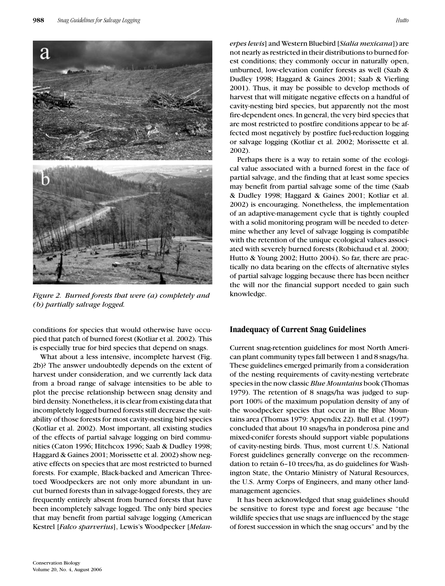

*Figure 2. Burned forests that were (a) completely and (b) partially salvage logged.*

conditions for species that would otherwise have occupied that patch of burned forest (Kotliar et al. 2002). This is especially true for bird species that depend on snags.

What about a less intensive, incomplete harvest (Fig. 2b)? The answer undoubtedly depends on the extent of harvest under consideration, and we currently lack data from a broad range of salvage intensities to be able to plot the precise relationship between snag density and bird density. Nonetheless, it is clear from existing data that incompletely logged burned forests still decrease the suitability of those forests for most cavity-nesting bird species (Kotliar et al. 2002). Most important, all existing studies of the effects of partial salvage logging on bird communities (Caton 1996; Hitchcox 1996; Saab & Dudley 1998; Haggard & Gaines 2001; Morissette et al. 2002) show negative effects on species that are most restricted to burned forests. For example, Black-backed and American Threetoed Woodpeckers are not only more abundant in uncut burned forests than in salvage-logged forests, they are frequently entirely absent from burned forests that have been incompletely salvage logged. The only bird species that may benefit from partial salvage logging (American Kestrel [*Falco sparverius*], Lewis's Woodpecker [*Melan-* *erpes lewis*] and Western Bluebird [*Sialia mexicana*]) are not nearly as restricted in their distributions to burned forest conditions; they commonly occur in naturally open, unburned, low-elevation conifer forests as well (Saab & Dudley 1998; Haggard & Gaines 2001; Saab & Vierling 2001). Thus, it may be possible to develop methods of harvest that will mitigate negative effects on a handful of cavity-nesting bird species, but apparently not the most fire-dependent ones. In general, the very bird species that are most restricted to postfire conditions appear to be affected most negatively by postfire fuel-reduction logging or salvage logging (Kotliar et al. 2002; Morissette et al. 2002).

Perhaps there is a way to retain some of the ecological value associated with a burned forest in the face of partial salvage, and the finding that at least some species may benefit from partial salvage some of the time (Saab & Dudley 1998; Haggard & Gaines 2001; Kotliar et al. 2002) is encouraging. Nonetheless, the implementation of an adaptive-management cycle that is tightly coupled with a solid monitoring program will be needed to determine whether any level of salvage logging is compatible with the retention of the unique ecological values associated with severely burned forests (Robichaud et al. 2000; Hutto & Young 2002; Hutto 2004). So far, there are practically no data bearing on the effects of alternative styles of partial salvage logging because there has been neither the will nor the financial support needed to gain such knowledge.

#### **Inadequacy of Current Snag Guidelines**

Current snag-retention guidelines for most North American plant community types fall between 1 and 8 snags/ha. These guidelines emerged primarily from a consideration of the nesting requirements of cavity-nesting vertebrate species in the now classic *Blue Mountains* book (Thomas 1979). The retention of 8 snags/ha was judged to support 100% of the maximum population density of any of the woodpecker species that occur in the Blue Mountains area (Thomas 1979: Appendix 22). Bull et al. (1997) concluded that about 10 snags/ha in ponderosa pine and mixed-conifer forests should support viable populations of cavity-nesting birds. Thus, most current U.S. National Forest guidelines generally converge on the recommendation to retain 6–10 trees/ha, as do guidelines for Washington State, the Ontario Ministry of Natural Resources, the U.S. Army Corps of Engineers, and many other landmanagement agencies.

It has been acknowledged that snag guidelines should be sensitive to forest type and forest age because "the wildlife species that use snags are influenced by the stage of forest succession in which the snag occurs" and by the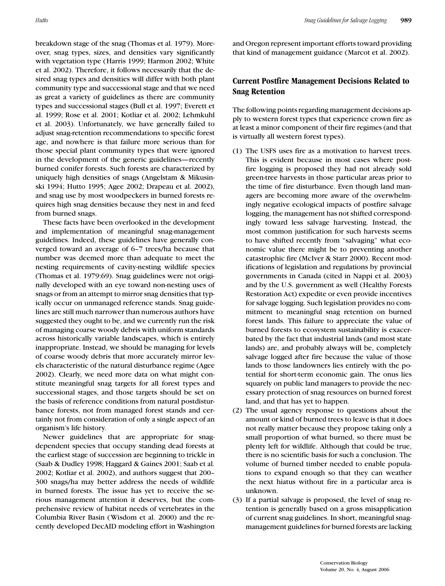breakdown stage of the snag (Thomas et al. 1979). Moreover, snag types, sizes, and densities vary significantly with vegetation type (Harris 1999; Harmon 2002; White et al. 2002). Therefore, it follows necessarily that the desired snag types and densities will differ with both plant community type and successional stage and that we need as great a variety of guidelines as there are community types and successional stages (Bull et al. 1997; Everett et al. 1999; Rose et al. 2001; Kotliar et al. 2002; Lehmkuhl et al. 2003). Unfortunately, we have generally failed to adjust snag-retention recommendations to specific forest age, and nowhere is that failure more serious than for those special plant community types that were ignored in the development of the generic guidelines—recently burned conifer forests. Such forests are characterized by uniquely high densities of snags (Angelstam & Mikusinski 1994; Hutto 1995; Agee 2002; Drapeau et al. 2002), and snag use by most woodpeckers in burned forests requires high snag densities because they nest in and feed from burned snags.

These facts have been overlooked in the development and implementation of meaningful snag-management guidelines. Indeed, these guidelines have generally converged toward an average of 6–7 trees/ha because that number was deemed more than adequate to meet the nesting requirements of cavity-nesting wildlife species (Thomas et al. 1979:69). Snag guidelines were not originally developed with an eye toward non-nesting uses of snags or from an attempt to mirror snag densities that typically occur on unmanaged reference stands. Snag guidelines are still much narrower than numerous authors have suggested they ought to be, and we currently run the risk of managing coarse woody debris with uniform standards across historically variable landscapes, which is entirely inappropriate. Instead, we should be managing for levels of coarse woody debris that more accurately mirror levels characteristic of the natural disturbance regime (Agee 2002). Clearly, we need more data on what might constitute meaningful snag targets for all forest types and successional stages, and those targets should be set on the basis of reference conditions from natural postdisturbance forests, not from managed forest stands and certainly not from consideration of only a single aspect of an organism's life history.

Newer guidelines that are appropriate for snagdependent species that occupy standing dead forests at the earliest stage of succession are beginning to trickle in (Saab & Dudley 1998; Haggard & Gaines 2001; Saab et al. 2002; Kotliar et al. 2002), and authors suggest that 200– 300 snags/ha may better address the needs of wildlife in burned forests. The issue has yet to receive the serious management attention it deserves, but the comprehensive review of habitat needs of vertebrates in the Columbia River Basin (Wisdom et al. 2000) and the recently developed DecAID modeling effort in Washington

and Oregon represent important efforts toward providing that kind of management guidance (Marcot et al. 2002).

### **Current Postfire Management Decisions Related to Snag Retention**

The following points regarding management decisions apply to western forest types that experience crown fire as at least a minor component of their fire regimes (and that is virtually all western forest types).

- (1) The USFS uses fire as a motivation to harvest trees. This is evident because in most cases where postfire logging is proposed they had not already sold green-tree harvests in those particular areas prior to the time of fire disturbance. Even though land managers are becoming more aware of the overwhelmingly negative ecological impacts of postfire salvage logging, the management has not shifted correspondingly toward less salvage harvesting. Instead, the most common justification for such harvests seems to have shifted recently from "salvaging" what economic value there might be to preventing another catastrophic fire (McIver & Starr 2000). Recent modifications of legislation and regulations by provincial governments in Canada (cited in Nappi et al. 2003) and by the U.S. government as well (Healthy Forests Restoration Act) expedite or even provide incentives for salvage logging. Such legislation provides no commitment to meaningful snag retention on burned forest lands. This failure to appreciate the value of burned forests to ecosystem sustainability is exacerbated by the fact that industrial lands (and most state lands) are, and probably always will be, completely salvage logged after fire because the value of those lands to those landowners lies entirely with the potential for short-term economic gain. The onus lies squarely on public land managers to provide the necessary protection of snag resources on burned forest land, and that has yet to happen.
- (2) The usual agency response to questions about the amount or kind of burned trees to leave is that it does not really matter because they propose taking only a small proportion of what burned, so there must be plenty left for wildlife. Although that could be true, there is no scientific basis for such a conclusion. The volume of burned timber needed to enable populations to expand enough so that they can weather the next hiatus without fire in a particular area is unknown.
- (3) If a partial salvage is proposed, the level of snag retention is generally based on a gross misapplication of current snag guidelines. In short, meaningful snagmanagement guidelines for burned forests are lacking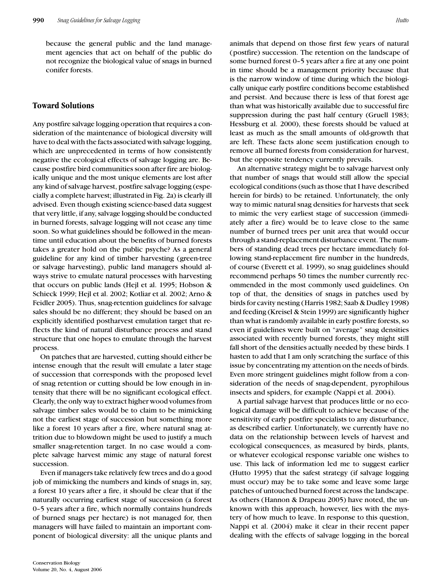because the general public and the land management agencies that act on behalf of the public do not recognize the biological value of snags in burned conifer forests.

#### **Toward Solutions**

Any postfire salvage logging operation that requires a consideration of the maintenance of biological diversity will have to deal with the facts associated with salvage logging, which are unprecedented in terms of how consistently negative the ecological effects of salvage logging are. Because postfire bird communities soon after fire are biologically unique and the most unique elements are lost after any kind of salvage harvest, postfire salvage logging (especially a complete harvest; illustrated in Fig. 2a) is clearly ill advised. Even though existing science-based data suggest that very little, if any, salvage logging should be conducted in burned forests, salvage logging will not cease any time soon. So what guidelines should be followed in the meantime until education about the benefits of burned forests takes a greater hold on the public psyche? As a general guideline for any kind of timber harvesting (green-tree or salvage harvesting), public land managers should always strive to emulate natural processes with harvesting that occurs on public lands (Hejl et al. 1995; Hobson & Schieck 1999; Hejl et al. 2002; Kotliar et al. 2002; Arno & Feidler 2005). Thus, snag-retention guidelines for salvage sales should be no different; they should be based on an explicitly identified postharvest emulation target that reflects the kind of natural disturbance process and stand structure that one hopes to emulate through the harvest process.

On patches that are harvested, cutting should either be intense enough that the result will emulate a later stage of succession that corresponds with the proposed level of snag retention or cutting should be low enough in intensity that there will be no significant ecological effect. Clearly, the only way to extract higher wood volumes from salvage timber sales would be to claim to be mimicking not the earliest stage of succession but something more like a forest 10 years after a fire, where natural snag attrition due to blowdown might be used to justify a much smaller snag-retention target. In no case would a complete salvage harvest mimic any stage of natural forest succession.

Even if managers take relatively few trees and do a good job of mimicking the numbers and kinds of snags in, say, a forest 10 years after a fire, it should be clear that if the naturally occurring earliest stage of succession (a forest 0–5 years after a fire, which normally contains hundreds of burned snags per hectare) is not managed for, then managers will have failed to maintain an important component of biological diversity: all the unique plants and animals that depend on those first few years of natural (postfire) succession. The retention on the landscape of some burned forest 0–5 years after a fire at any one point in time should be a management priority because that is the narrow window of time during which the biologically unique early postfire conditions become established and persist. And because there is less of that forest age than what was historically available due to successful fire suppression during the past half century (Gruell 1983; Hessburg et al. 2000), these forests should be valued at least as much as the small amounts of old-growth that are left. These facts alone seem justification enough to remove all burned forests from consideration for harvest, but the opposite tendency currently prevails.

An alternative strategy might be to salvage harvest only that number of snags that would still allow the special ecological conditions (such as those that I have described herein for birds) to be retained. Unfortunately, the only way to mimic natural snag densities for harvests that seek to mimic the very earliest stage of succession (immediately after a fire) would be to leave close to the same number of burned trees per unit area that would occur through a stand-replacement disturbance event. The numbers of standing dead trees per hectare immediately following stand-replacement fire number in the hundreds, of course (Everett et al. 1999), so snag guidelines should recommend perhaps 50 times the number currently recommended in the most commonly used guidelines. On top of that, the densities of snags in patches used by birds for cavity nesting (Harris 1982; Saab & Dudley 1998) and feeding (Kreisel & Stein 1999) are significantly higher than what is randomly available in early postfire forests, so even if guidelines were built on "average" snag densities associated with recently burned forests, they might still fall short of the densities actually needed by these birds. I hasten to add that I am only scratching the surface of this issue by concentrating my attention on the needs of birds. Even more stringent guidelines might follow from a consideration of the needs of snag-dependent, pyrophilous insects and spiders, for example (Nappi et al. 2004).

A partial salvage harvest that produces little or no ecological damage will be difficult to achieve because of the sensitivity of early postfire specialists to any disturbance, as described earlier. Unfortunately, we currently have no data on the relationship between levels of harvest and ecological consequences, as measured by birds, plants, or whatever ecological response variable one wishes to use. This lack of information led me to suggest earlier (Hutto 1995) that the safest strategy (if salvage logging must occur) may be to take some and leave some large patches of untouched burned forest across the landscape. As others (Hannon & Drapeau 2005) have noted, the unknown with this approach, however, lies with the mystery of how much to leave. In response to this question, Nappi et al. (2004) make it clear in their recent paper dealing with the effects of salvage logging in the boreal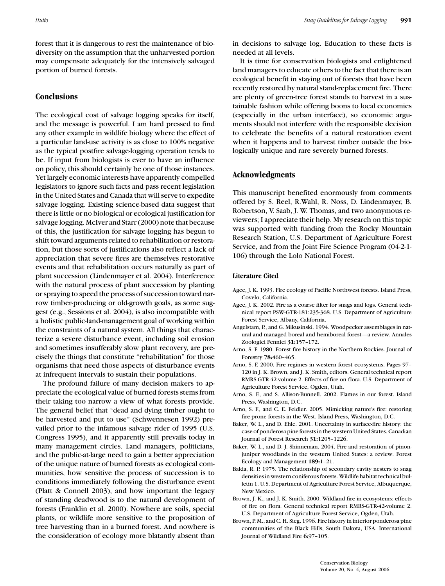forest that it is dangerous to rest the maintenance of biodiversity on the assumption that the unharvested portion may compensate adequately for the intensively salvaged portion of burned forests.

#### **Conclusions**

The ecological cost of salvage logging speaks for itself, and the message is powerful. I am hard pressed to find any other example in wildlife biology where the effect of a particular land-use activity is as close to 100% negative as the typical postfire salvage-logging operation tends to be. If input from biologists is ever to have an influence on policy, this should certainly be one of those instances. Yet largely economic interests have apparently compelled legislators to ignore such facts and pass recent legislation in the United States and Canada that will serve to expedite salvage logging. Existing science-based data suggest that there is little or no biological or ecological justification for salvage logging. McIver and Starr (2000) note that because of this, the justification for salvage logging has begun to shift toward arguments related to rehabilitation or restoration, but those sorts of justifications also reflect a lack of appreciation that severe fires are themselves restorative events and that rehabilitation occurs naturally as part of plant succession (Lindenmayer et al. 2004). Interference with the natural process of plant succession by planting or spraying to speed the process of succession toward narrow timber-producing or old-growth goals, as some suggest (e.g., Sessions et al. 2004), is also incompatible with a holistic public-land-management goal of working within the constraints of a natural system. All things that characterize a severe disturbance event, including soil erosion and sometimes insufferably slow plant recovery, are precisely the things that constitute "rehabilitation" for those organisms that need those aspects of disturbance events at infrequent intervals to sustain their populations.

The profound failure of many decision makers to appreciate the ecological value of burned forests stems from their taking too narrow a view of what forests provide. The general belief that "dead and dying timber ought to be harvested and put to use" (Schwennesen 1992) prevailed prior to the infamous salvage rider of 1995 (U.S. Congress 1995), and it apparently still prevails today in many management circles. Land managers, politicians, and the public-at-large need to gain a better appreciation of the unique nature of burned forests as ecological communities, how sensitive the process of succession is to conditions immediately following the disturbance event (Platt & Connell 2003), and how important the legacy of standing deadwood is to the natural development of forests (Franklin et al. 2000). Nowhere are soils, special plants, or wildlife more sensitive to the proposition of tree harvesting than in a burned forest. And nowhere is the consideration of ecology more blatantly absent than in decisions to salvage log. Education to these facts is needed at all levels.

It is time for conservation biologists and enlightened land managers to educate others to the fact that there is an ecological benefit in staying out of forests that have been recently restored by natural stand-replacement fire. There are plenty of green-tree forest stands to harvest in a sustainable fashion while offering boons to local economies (especially in the urban interface), so economic arguments should not interfere with the responsible decision to celebrate the benefits of a natural restoration event when it happens and to harvest timber outside the biologically unique and rare severely burned forests.

#### **Acknowledgments**

This manuscript benefited enormously from comments offered by S. Reel, R.Wahl, R. Noss, D. Lindenmayer, B. Robertson, V. Saab, J. W. Thomas, and two anonymous reviewers; I appreciate their help. My research on this topic was supported with funding from the Rocky Mountain Research Station, U.S. Department of Agriculture Forest Service, and from the Joint Fire Science Program (04-2-1- 106) through the Lolo National Forest.

#### **Literature Cited**

- Agee, J. K. 1993. Fire ecology of Pacific Northwest forests. Island Press, Covelo, California.
- Agee, J. K. 2002. Fire as a coarse filter for snags and logs. General technical report PSW-GTR-181:235-368. U.S. Department of Agriculture Forest Service, Albany, California.
- Angelstam, P., and G. Mikusinski. 1994. Woodpecker assemblages in natural and managed boreal and hemiboreal forest—a review. Annales Zoologici Fennici **31:**157–172.
- Arno, S. F. 1980. Forest fire history in the Northern Rockies. Journal of Forestry **78:**460–465.
- Arno, S. F. 2000. Fire regimes in western forest ecosystems. Pages 97– 120 in J. K. Brown, and J. K. Smith, editors. General technical report RMRS-GTR-42-volume 2. Effects of fire on flora. U.S. Department of Agriculture Forest Service, Ogden, Utah.
- Arno, S. F., and S. Allison-Bunnell. 2002. Flames in our forest. Island Press, Washington, D.C.
- Arno, S. F., and C. E. Feidler. 2005. Mimicking nature's fire: restoring fire-prone forests in the West. Island Press, Washington, D.C.
- Baker, W. L., and D. Ehle. 2001. Uncertainty in surface-fire history: the case of ponderosa pine forests in the western United States. Canadian Journal of Forest Research **31:**1205–1226.
- Baker, W. L., and D. J. Shinneman. 2004. Fire and restoration of pinonjuniper woodlands in the western United States: a review. Forest Ecology and Management **189:**1–21.
- Balda, R. P. 1975. The relationship of secondary cavity nesters to snag densities in western coniferous forests. Wildlife habitat technical bulletin 1. U.S. Department of Agriculture Forest Service, Albuquerque, New Mexico.
- Brown, J. K., and J. K. Smith. 2000. Wildland fire in ecosystems: effects of fire on flora. General technical report RMRS-GTR-42-volume 2. U.S. Department of Agriculture Forest Service, Ogden, Utah.
- Brown, P. M., and C. H. Sieg. 1996. Fire history in interior ponderosa pine communities of the Black Hills, South Dakota, USA. International Journal of Wildland Fire **6:**97–105.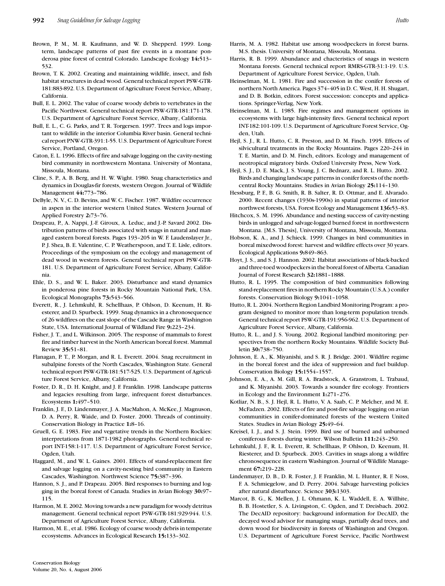- Brown, P. M., M. R. Kaufmann, and W. D. Shepperd. 1999. Longterm, landscape patterns of past fire events in a montane ponderosa pine forest of central Colorado. Landscape Ecology **14:**513– 532.
- Brown, T. K. 2002. Creating and maintaining wildlife, insect, and fish habitat structures in dead wood. General technical report PSW-GTR-181:883-892. U.S. Department of Agriculture Forest Service, Albany, California.
- Bull, E. L. 2002. The value of coarse woody debris to vertebrates in the Pacific Northwest. General technical report PSW-GTR-181:171-178. U.S. Department of Agriculture Forest Service, Albany, California.
- Bull, E. L., C. G. Parks, and T. R. Torgersen. 1997. Trees and logs important to wildlife in the interior Columbia River basin. General technical report PNW-GTR-391:1-55. U.S. Department of Agriculture Forest Service, Portland, Oregon.
- Caton, E. L. 1996. Effects of fire and salvage logging on the cavity-nesting bird community in northwestern Montana. University of Montana, Missoula, Montana.
- Cline, S. P., A. B. Berg, and H. W. Wight. 1980. Snag characteristics and dynamics in Douglas-fir forests, western Oregon. Journal of Wildlife Management **44:**773–786.
- DeByle, N. V., C. D. Bevins, and W. C. Fischer. 1987. Wildfire occurrence in aspen in the interior western United States. Western Journal of Applied Forestry **2:**73–76.
- Drapeau, P., A. Nappi, J.-F. Giroux, A. Leduc, and J.-P. Savard 2002. Distribution patterns of birds associated with snags in natural and managed eastern boreal forests. Pages 193–205 in W. F. Laudenslayer Jr., P. J. Shea, B. E. Valentine, C. P. Weatherspoon, and T. E. Lisle, editors. Proceedings of the symposium on the ecology and management of dead wood in western forests. General technical report PSW-GTR-181. U.S. Department of Agriculture Forest Service, Albany, California.
- Ehle, D. S., and W. L. Baker. 2003. Disturbance and stand dynamics in ponderosa pine forests in Rocky Mountain National Park, USA. Ecological Monographs **73:**543–566.
- Everett, R., J. Lehmkuhl, R. Schellhaas, P. Ohlson, D. Keenum, H. Riesterer, and D. Spurbeck. 1999. Snag dynamics in a chronosequence of 26 wildfires on the east slope of the Cascade Range in Washington State, USA. International Journal of Wildland Fire **9:**223–234.
- Fisher, J. T., and L. Wilkinson. 2005. The response of mammals to forest fire and timber harvest in the North American boreal forest. Mammal Review **35:**51–81.
- Flanagan, P. T., P. Morgan, and R. L. Everett. 2004. Snag recruitment in subalpine forests of the North Cascades, Washington State. General technical report PSW-GTR-181:517-525. U.S. Department of Agriculture Forest Service, Albany, California.
- Foster, D. R., D. H. Knight, and J. F. Franklin. 1998. Landscape patterns and legacies resulting from large, infrequent forest disturbances. Ecosystems **1:**497–510.
- Franklin, J. F., D. Lindenmayer, J. A. MacMahon, A. McKee, J. Magnuson, D. A. Perry, R. Waide, and D. Foster. 2000. Threads of continuity. Conservation Biology in Practice **1:**8–16.
- Gruell, G. E. 1983. Fire and vegetative trends in the Northern Rockies: interpretations from 1871-1982 photographs. General technical report INT-158:1-117. U.S. Department of Agriculture Forest Service, Ogden, Utah.
- Haggard, M., and W. L. Gaines. 2001. Effects of stand-replacement fire and salvage logging on a cavity-nesting bird community in Eastern Cascades, Washington. Northwest Science **75:**387–396.
- Hannon, S. J., and P. Drapeau. 2005. Bird responses to burning and logging in the boreal forest of Canada. Studies in Avian Biology **30:**97– 115.
- Harmon, M. E. 2002. Moving towards a new paradigm for woody detritus management. General technical report PSW-GTR-181:929-944. U.S. Department of Agriculture Forest Service, Albany, California.

Harmon, M. E., et al. 1986. Ecology of coarse woody debris in temperate ecosystems. Advances in Ecological Research **15:**133–302.

- Harris, M. A. 1982. Habitat use among woodpeckers in forest burns. M.S. thesis. University of Montana, Missoula, Montana.
- Harris, R. B. 1999. Abundance and chacteristics of snags in western Montana forests. General technical report RMRS-GTR-31:1-19. U.S. Department of Agriculture Forest Service, Ogden, Utah.
- Heinselman, M. L. 1981. Fire and succession in the conifer forests of northern North America. Pages 374–405 in D. C. West, H. H. Shugart, and D. B. Botkin, editors. Forest succession: concepts and applications. Springer-Verlag, New York.
- Heinselman, M. L. 1985. Fire regimes and management options in ecosystems with large high-intensity fires. General technical report INT-182:101-109. U.S. Department of Agriculture Forest Service, Ogden, Utah.
- Hejl, S. J., R. L. Hutto, C. R. Preston, and D. M. Finch. 1995. Effects of silvicultural treatments in the Rocky Mountains. Pages 220–244 in T. E. Martin, and D. M. Finch, editors. Ecology and management of neotropical migratory birds. Oxford University Press, New York.
- Hejl, S. J., D. E. Mack, J. S. Young, J. C. Bednarz, and R. L. Hutto. 2002. Birds and changing landscape patterns in conifer forests of the northcentral Rocky Mountains. Studies in Avian Biology **25:**114–130.
- Hessburg, P. F., B. G. Smith, R. B. Salter, R. D. Ottmar, and E. Alvarado. 2000. Recent changes (1930s-1990s) in spatial patterns of interior northwest forests, USA. Forest Ecology and Management **136:**53–83.
- Hitchcox, S. M. 1996. Abundance and nesting success of cavity-nesting birds in unlogged and salvage-logged burned forest in northwestern Montana. [M.S. Thesis], University of Montana, Missoula, Montana.
- Hobson, K. A., and J. Schieck. 1999. Changes in bird communities in boreal mixedwood forest: harvest and wildfire effects over 30 years. Ecological Applications **9:**849–863.
- Hoyt, J. S., and S. J. Hannon. 2002. Habitat associations of black-backed and three-toed woodpeckers in the boreal forest of Alberta. Canadian Journal of Forest Research **32:**1881–1888.
- Hutto, R. L. 1995. The composition of bird communities following stand-replacement fires in northern Rocky Mountain (U.S.A.) conifer forests. Conservation Biology **9:**1041–1058.
- Hutto, R. L. 2004. Northern Region Landbird Monitoring Program: a program designed to monitor more than long-term population trends. General technical report PSW-GTR-191:956-962. U.S. Department of Agriculture Forest Service, Albany, California.
- Hutto, R. L., and J. S. Young. 2002. Regional landbird monitoring: perspectives from the northern Rocky Mountains. Wildlife Society Bulletin **30:**738–750.
- Johnson, E. A., K. Miyanishi, and S. R. J. Bridge. 2001. Wildfire regime in the boreal forest and the idea of suppression and fuel buildup. Conservation Biology **15:**1554–1557.
- Johnson, E. A., A. M. Gill, R. A. Bradstock, A. Granstrom, L. Trabaud, and K. Miyanishi. 2003. Towards a sounder fire ecology. Frontiers in Ecology and the Environment **1:**271–276.
- Kotliar, N. B., S. J. Hejl, R. L. Hutto, V. A. Saab, C. P. Melcher, and M. E. McFadzen. 2002. Effects of fire and post-fire salvage logging on avian communities in conifer-dominated forests of the western United States. Studies in Avian Biology **25:**49–64.
- Kreisel, I. J., and S. J. Stein. 1999. Bird use of burned and unburned coniferous forests during winter. Wilson Bulletin **111:**243–250.
- Lehmkuhl, J. F., R. L. Everett, R. Schellhaas, P. Ohlson, D. Keenum, H. Riesterer, and D. Spurbeck. 2003. Cavities in snags along a wildfire chronosequence in eastern Washington. Journal of Wildlife Management **67:**219–228.
- Lindenmayer, D. B., D. R. Foster, J. F. Franklin, M. L. Hunter, R. F. Noss, F. A. Schmiegelow, and D. Perry. 2004. Salvage harvesting policies after natural disturbance. Science **303:**1303.
- Marcot, B. G., K. Mellen, J. L. Ohmann, K. L. Waddell, E. A. Willhite, B. B. Hostetler, S. A. Livingston, C. Ogden, and T. Dreisbach. 2002. The DecAID repository: background information for DecAID, the decayed wood advisor for managing snags, partially dead trees, and down wood for biodiversity in forests of Washington and Oregon. U.S. Department of Agriculture Forest Service, Pacific Northwest